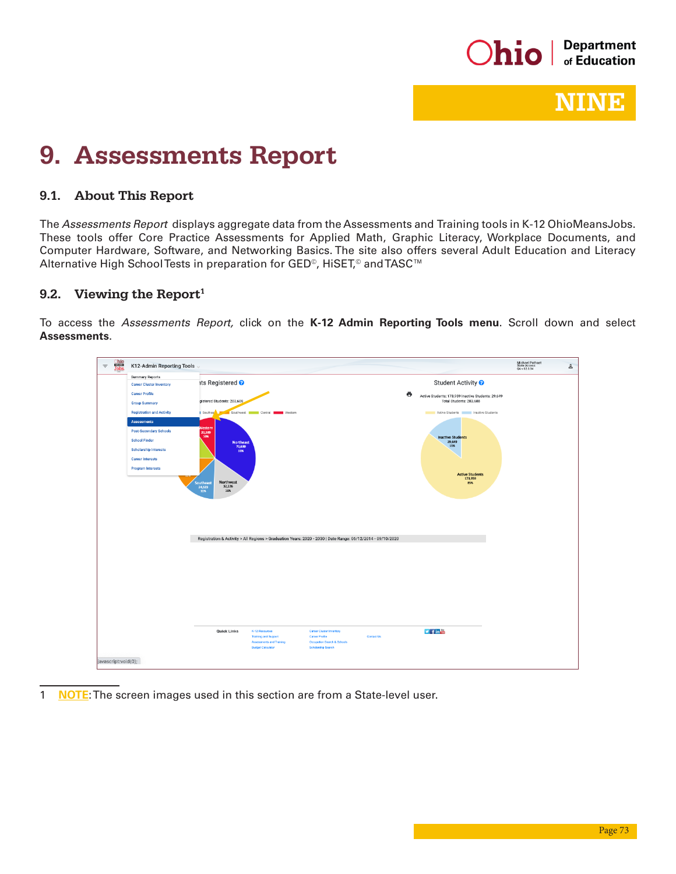

## NINE

# 9. Assessments Report

#### 9.1. About This Report

The *Assessments Report* displays aggregate data from the Assessments and Training tools in K-12 OhioMeansJobs. These tools offer Core Practice Assessments for Applied Math, Graphic Literacy, Workplace Documents, and Computer Hardware, Software, and Networking Basics. The site also offers several Adult Education and Literacy Alternative High School Tests in preparation for GED<sup>©</sup>, HiSET,<sup>©</sup> and TASC<sup>™</sup>

### 9.2. Viewing the Report<sup>1</sup>

To access the *Assessments Report,* click on the **K-12 Admin Reporting Tools menu**. Scroll down and select **Assessments**.

| Ohio<br>Jobs<br>K12-Admin Reporting Tools<br>$\equiv$                                                                                                                                                                                                                                                                |                                                                                                                                                                                                                                                                                                                                                                                                                                                                                                           | Michael Pothast<br>State Access<br>QA v 02.0.34 | $\geq$ |
|----------------------------------------------------------------------------------------------------------------------------------------------------------------------------------------------------------------------------------------------------------------------------------------------------------------------|-----------------------------------------------------------------------------------------------------------------------------------------------------------------------------------------------------------------------------------------------------------------------------------------------------------------------------------------------------------------------------------------------------------------------------------------------------------------------------------------------------------|-------------------------------------------------|--------|
| <b>Summary Reports</b><br><b>Career Cluster Inventory</b><br><b>Career Profile</b><br><b>Group Summary</b><br><b>Registration and Activity</b><br><b>Assessments</b><br><b>Post-Secondary Schools</b><br><b>School Finder</b><br><b>Scholarship Interests</b><br><b>Career Interests</b><br><b>Program Interests</b> | its Registered <sup>?</sup><br>Student Activity ?<br>ē<br>Active Students: 173,959 Inactive Students: 29,649<br>gistered Students: 203,608<br>Total Students: 203,608<br>Southea<br>Southwest <b>Central Designers</b> Western<br>Active Students   Inactive Students<br><b>Nestern</b><br>20,389<br>10%<br><b>Inactive Students</b><br>29,649<br><b>Northeast</b><br>15%<br>70,630<br>35%<br><b>Active Students</b><br>173,959<br>Northwest<br><b>Southeast</b><br>85%<br>32,226<br>24,523<br>12%<br>16% |                                                 |        |
| javascript:void(0);                                                                                                                                                                                                                                                                                                  | Registration & Activity > All Regions > Graduation Years: 2020 - 2030   Date Range: 06/12/2014 - 09/10/2020<br>$\n  4$ in $m$<br>Quick Links<br>K-12 Resources<br>Career Cluster Inventory<br><b>Training and Support</b><br><b>Career Profile</b><br><b>Contact Us</b><br>Occupation Search & Schools<br>Assessments and Training<br><b>Budget Calculator</b><br><b>Scholarship Search</b>                                                                                                               |                                                 |        |

1 **NOTE:** The screen images used in this section are from a State-level user.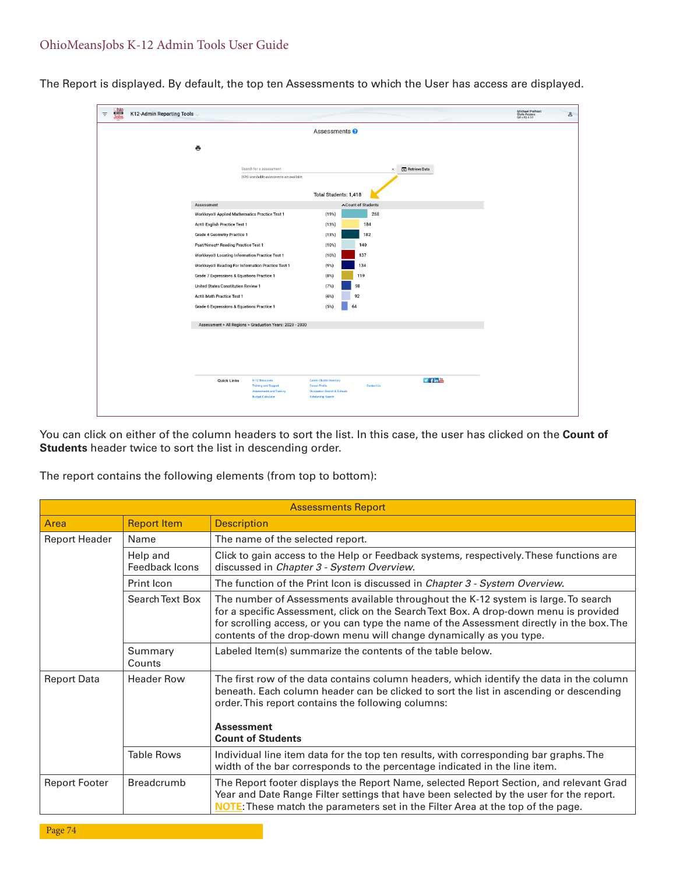| $\equiv$ | $Ohio$<br>Jobs | K12-Admin Reporting Tools |                                                                                       |                                                                |                                                                 |                    |                                      | Michael Pothast<br>State Access<br>QA v 02.0.33 | $\Delta$ |
|----------|----------------|---------------------------|---------------------------------------------------------------------------------------|----------------------------------------------------------------|-----------------------------------------------------------------|--------------------|--------------------------------------|-------------------------------------------------|----------|
|          |                |                           |                                                                                       |                                                                | Assessments <sup>O</sup>                                        |                    |                                      |                                                 |          |
|          |                |                           | $\ddot{\bullet}$                                                                      |                                                                |                                                                 |                    |                                      |                                                 |          |
|          |                |                           |                                                                                       |                                                                |                                                                 |                    |                                      |                                                 |          |
|          |                |                           |                                                                                       | Search for a assessment                                        |                                                                 |                    | <b>[+]</b> Retrieve Data<br>$\times$ |                                                 |          |
|          |                |                           |                                                                                       | (176) searchable assessments are available.                    |                                                                 |                    |                                      |                                                 |          |
|          |                |                           |                                                                                       |                                                                | Total Students: 1,418                                           |                    |                                      |                                                 |          |
|          |                |                           | Assessment                                                                            |                                                                |                                                                 | ∧Count of Students |                                      |                                                 |          |
|          |                |                           | Workkeys® Applied Mathematics Practice Test 1                                         |                                                                | (19%)                                                           | 268                |                                      |                                                 |          |
|          |                |                           | Act <sup>®</sup> English Practice Test 1                                              |                                                                | (13%)                                                           | 184                |                                      |                                                 |          |
|          |                |                           | <b>Grade 4 Geometry Practice 1</b>                                                    |                                                                | (13%)                                                           | 182<br>140         |                                      |                                                 |          |
|          |                |                           | Psat/Nmsqt* Reading Practice Test 1<br>Workkeys® Locating Information Practice Test 1 |                                                                | (10%)<br>(10%)                                                  | 137                |                                      |                                                 |          |
|          |                |                           | Workkeys® Reading For Information Practice Test 1                                     |                                                                | (9%)                                                            | 134                |                                      |                                                 |          |
|          |                |                           | Grade 7 Expressions & Equations Practice 1                                            |                                                                | (8%)                                                            | 119                |                                      |                                                 |          |
|          |                |                           | United States Constitution Review 1                                                   |                                                                | (7%)                                                            | 98                 |                                      |                                                 |          |
|          |                |                           | Act <sup>®</sup> Math Practice Test 1                                                 |                                                                | $(6\%)$                                                         | 92                 |                                      |                                                 |          |
|          |                |                           | Grade 6 Expressions & Equations Practice 1                                            |                                                                | (5%)                                                            | 64                 |                                      |                                                 |          |
|          |                |                           |                                                                                       |                                                                |                                                                 |                    |                                      |                                                 |          |
|          |                |                           |                                                                                       | Assessment > All Regions > Graduation Years: 2020 - 2030       |                                                                 |                    |                                      |                                                 |          |
|          |                |                           |                                                                                       |                                                                |                                                                 |                    |                                      |                                                 |          |
|          |                |                           |                                                                                       |                                                                |                                                                 |                    |                                      |                                                 |          |
|          |                |                           |                                                                                       |                                                                |                                                                 |                    |                                      |                                                 |          |
|          |                |                           | <b>Quick Links</b>                                                                    | K-12 Resources                                                 | <b>Career Cluster Inventory</b>                                 |                    | $\nu$ final                          |                                                 |          |
|          |                |                           |                                                                                       | <b>Training and Support</b><br><b>Assessments and Training</b> | <b>Career Profile</b><br><b>Occupation Search &amp; Schools</b> | <b>Contact Us</b>  |                                      |                                                 |          |
|          |                |                           |                                                                                       | <b>Budget Calculator</b>                                       | <b>Scholarship Search</b>                                       |                    |                                      |                                                 |          |
|          |                |                           |                                                                                       |                                                                |                                                                 |                    |                                      |                                                 |          |

The Report is displayed. By default, the top ten Assessments to which the User has access are displayed.

You can click on either of the column headers to sort the list. In this case, the user has clicked on the **Count of Students** header twice to sort the list in descending order.

The report contains the following elements (from top to bottom):

|                      |                            | <b>Assessments Report</b>                                                                                                                                                                                                                                                                                                                       |  |  |  |  |  |  |  |
|----------------------|----------------------------|-------------------------------------------------------------------------------------------------------------------------------------------------------------------------------------------------------------------------------------------------------------------------------------------------------------------------------------------------|--|--|--|--|--|--|--|
| Area                 | <b>Report Item</b>         | <b>Description</b>                                                                                                                                                                                                                                                                                                                              |  |  |  |  |  |  |  |
| <b>Report Header</b> | Name                       | The name of the selected report.                                                                                                                                                                                                                                                                                                                |  |  |  |  |  |  |  |
|                      | Help and<br>Feedback Icons | Click to gain access to the Help or Feedback systems, respectively. These functions are<br>discussed in Chapter 3 - System Overview.                                                                                                                                                                                                            |  |  |  |  |  |  |  |
|                      | Print Icon                 | The function of the Print Icon is discussed in Chapter 3 - System Overview.                                                                                                                                                                                                                                                                     |  |  |  |  |  |  |  |
|                      | Search Text Box            | The number of Assessments available throughout the K-12 system is large. To search<br>for a specific Assessment, click on the Search Text Box. A drop-down menu is provided<br>for scrolling access, or you can type the name of the Assessment directly in the box. The<br>contents of the drop-down menu will change dynamically as you type. |  |  |  |  |  |  |  |
|                      | Summary<br>Counts          | Labeled Item(s) summarize the contents of the table below.                                                                                                                                                                                                                                                                                      |  |  |  |  |  |  |  |
| <b>Report Data</b>   | <b>Header Row</b>          | The first row of the data contains column headers, which identify the data in the column<br>beneath. Each column header can be clicked to sort the list in ascending or descending<br>order. This report contains the following columns:<br><b>Assessment</b><br><b>Count of Students</b>                                                       |  |  |  |  |  |  |  |
|                      | <b>Table Rows</b>          | Individual line item data for the top ten results, with corresponding bar graphs. The<br>width of the bar corresponds to the percentage indicated in the line item.                                                                                                                                                                             |  |  |  |  |  |  |  |
| <b>Report Footer</b> | <b>Breadcrumb</b>          | The Report footer displays the Report Name, selected Report Section, and relevant Grad<br>Year and Date Range Filter settings that have been selected by the user for the report.<br><b>NOTE:</b> These match the parameters set in the Filter Area at the top of the page.                                                                     |  |  |  |  |  |  |  |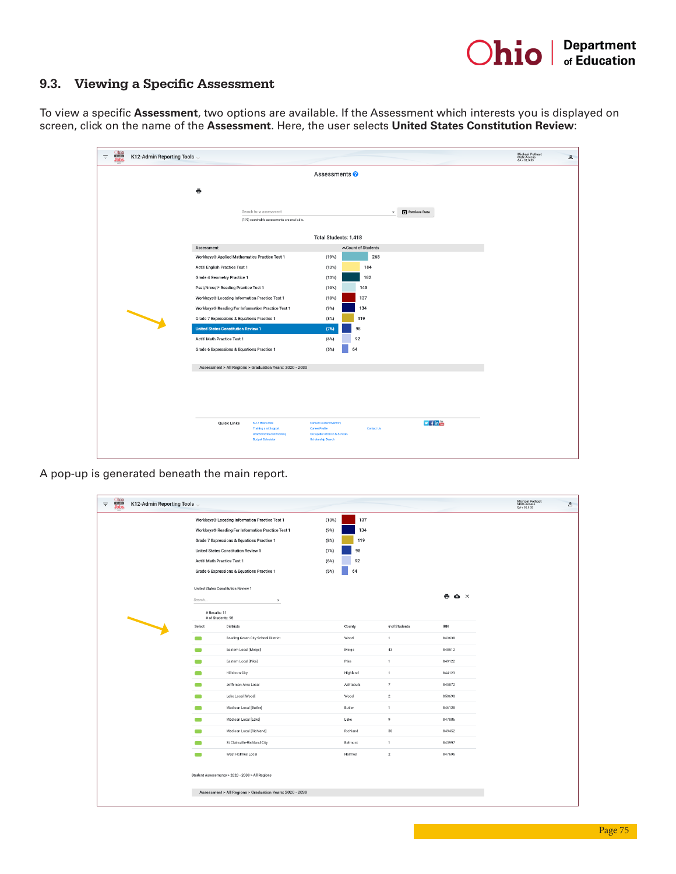### 9.3. Viewing a Specific Assessment

To view a specific **Assessment**, two options are available. If the Assessment which interests you is displayed on screen, click on the name of the **Assessment**. Here, the user selects **United States Constitution Review**:

| <b>Chio</b><br>Jobs<br>K12-Admin Reporting Tools<br>$\equiv$ |                                                               |                                                          |                                                          |                    |                                           | Michael Pothast<br>State Access<br>QA v 02.0.33<br>$\mathbb{S}$ |
|--------------------------------------------------------------|---------------------------------------------------------------|----------------------------------------------------------|----------------------------------------------------------|--------------------|-------------------------------------------|-----------------------------------------------------------------|
|                                                              |                                                               |                                                          | Assessments <sup>®</sup>                                 |                    |                                           |                                                                 |
|                                                              | ē                                                             |                                                          |                                                          |                    |                                           |                                                                 |
|                                                              |                                                               |                                                          |                                                          |                    |                                           |                                                                 |
|                                                              |                                                               | Search for a assessment                                  |                                                          |                    | <sup>[</sup> 1] Retrieve Data<br>$\times$ |                                                                 |
|                                                              |                                                               | (176) searchable assessments are available.              |                                                          |                    |                                           |                                                                 |
|                                                              |                                                               |                                                          | Total Students: 1,418                                    |                    |                                           |                                                                 |
|                                                              | Assessment                                                    |                                                          |                                                          | ∧Count of Students |                                           |                                                                 |
|                                                              | Workkeys® Applied Mathematics Practice Test 1                 |                                                          | (19%)                                                    | 268                |                                           |                                                                 |
|                                                              | Act <sup>®</sup> English Practice Test 1                      |                                                          | (13%)                                                    | 184                |                                           |                                                                 |
|                                                              | <b>Grade 4 Geometry Practice 1</b>                            |                                                          | (13%)                                                    | 182                |                                           |                                                                 |
|                                                              | Psat/Nmsqt* Reading Practice Test 1                           |                                                          | (10%)                                                    | 140                |                                           |                                                                 |
|                                                              | Workkeys® Locating Information Practice Test 1                |                                                          | (10%)                                                    | 137                |                                           |                                                                 |
|                                                              | Workkeys <sup>®</sup> Reading For Information Practice Test 1 |                                                          | $(9\%)$                                                  | 134                |                                           |                                                                 |
|                                                              | Grade 7 Expressions & Equations Practice 1                    |                                                          | (8%)                                                     | 119                |                                           |                                                                 |
|                                                              | <b>United States Constitution Review 1</b>                    |                                                          | (7%)                                                     | 98                 |                                           |                                                                 |
|                                                              | Act® Math Practice Test 1                                     |                                                          | (6%)                                                     | 92                 |                                           |                                                                 |
|                                                              | Grade 6 Expressions & Equations Practice 1                    |                                                          | (5%)                                                     | 64                 |                                           |                                                                 |
|                                                              |                                                               | Assessment > All Regions > Graduation Years: 2020 - 2030 |                                                          |                    |                                           |                                                                 |
|                                                              |                                                               |                                                          |                                                          |                    |                                           |                                                                 |
|                                                              |                                                               |                                                          |                                                          |                    |                                           |                                                                 |
|                                                              |                                                               |                                                          |                                                          |                    |                                           |                                                                 |
|                                                              |                                                               |                                                          |                                                          |                    |                                           |                                                                 |
|                                                              | <b>Quick Links</b>                                            | K-12 Resources<br><b>Training and Support</b>            | <b>Career Cluster Inventory</b><br><b>Career Profile</b> | Contact Us         | $v$ fin                                   |                                                                 |
|                                                              |                                                               | Assessments and Training<br><b>Budget Calculator</b>     | Occupation Search & Schools<br><b>Scholarship Search</b> |                    |                                           |                                                                 |
|                                                              |                                                               |                                                          |                                                          |                    |                                           |                                                                 |

A pop-up is generated beneath the main report.

| $\equiv$ | <b>Chio</b><br>Jobs | K12-Admin Reporting Tools |                                                                                                                          |                                                               |       |           |                |                              | Michael Pothast<br>State Access<br>QA v 02.0.33 | $\geq$ |
|----------|---------------------|---------------------------|--------------------------------------------------------------------------------------------------------------------------|---------------------------------------------------------------|-------|-----------|----------------|------------------------------|-------------------------------------------------|--------|
|          |                     |                           |                                                                                                                          | Workkeys® Locating Information Practice Test 1                | (10%) | 137       |                |                              |                                                 |        |
|          |                     |                           |                                                                                                                          | Workkeys <sup>®</sup> Reading For Information Practice Test 1 | (9% ) | 134       |                |                              |                                                 |        |
|          |                     |                           |                                                                                                                          | Grade 7 Expressions & Equations Practice 1                    | (8%)  | 119       |                |                              |                                                 |        |
|          |                     |                           |                                                                                                                          | United States Constitution Review 1                           | (7%)  | 98        |                |                              |                                                 |        |
|          |                     |                           | Act <sup>®</sup> Math Practice Test 1                                                                                    |                                                               | (6%)  | 92        |                |                              |                                                 |        |
|          |                     |                           |                                                                                                                          | Grade 6 Expressions & Equations Practice 1                    | (5%)  | 64        |                |                              |                                                 |        |
|          |                     |                           | Search                                                                                                                   | United States Constitution Review 1<br>$\times$               |       |           |                | $\bullet$ $\bullet$ $\times$ |                                                 |        |
|          |                     |                           | # Results: 11<br># of Students: 98<br>Select<br><b>Districts</b><br>Bowling Green City School District<br>$\blacksquare$ |                                                               |       |           |                |                              |                                                 |        |
|          |                     |                           |                                                                                                                          |                                                               |       | County    | # of Students  | <b>IRN</b>                   |                                                 |        |
|          |                     |                           | Eastern Local [Meigs]<br>$\overline{\phantom{a}}$                                                                        |                                                               |       | Wood      | $\mathbf{1}$   | 043638                       |                                                 |        |
|          |                     |                           |                                                                                                                          |                                                               |       | Meigs     | 43             | 048512                       |                                                 |        |
|          |                     |                           | $\blacksquare$                                                                                                           | Eastern Local [Pike]                                          |       | Pike      | $\mathbf{1}$   | 049122                       |                                                 |        |
|          |                     |                           | $\mathcal{L}(\mathcal{L})$                                                                                               | Hillsboro City                                                |       | Highland  | $\mathbbm{1}$  | 044123                       |                                                 |        |
|          |                     |                           | $\blacksquare$                                                                                                           | Jefferson Area Local                                          |       | Ashtabula | $\overline{7}$ | 045872                       |                                                 |        |
|          |                     |                           | $\blacksquare$                                                                                                           | Lake Local [Wood]                                             |       | Wood      | $\,$ 2 $\,$    | 050690                       |                                                 |        |
|          |                     |                           | $\blacksquare$                                                                                                           | Madison Local [Butler]                                        |       | Butler    | $\mathbf{1}$   | 046128                       |                                                 |        |
|          |                     |                           | -                                                                                                                        | Madison Local [Lake]                                          |       | Lake      | 9              | 047886                       |                                                 |        |
|          |                     |                           | $\qquad \qquad$                                                                                                          | Madison Local [Richland]                                      |       | Richland  | 30             | 049452                       |                                                 |        |
|          |                     |                           | $\blacksquare$                                                                                                           | St Clairsville-Richland City                                  |       | Belmont   | $\mathbf{1}$   | 045997                       |                                                 |        |
|          |                     |                           | $\mathcal{L}$                                                                                                            | West Holmes Local                                             |       | Holmes    | $\mathbf{2}$   | 047696                       |                                                 |        |
|          |                     |                           | Student Assessments > 2020 - 2030 > All Regions<br>Assessment > All Regions > Graduation Years: 2020 - 2030              |                                                               |       |           |                |                              |                                                 |        |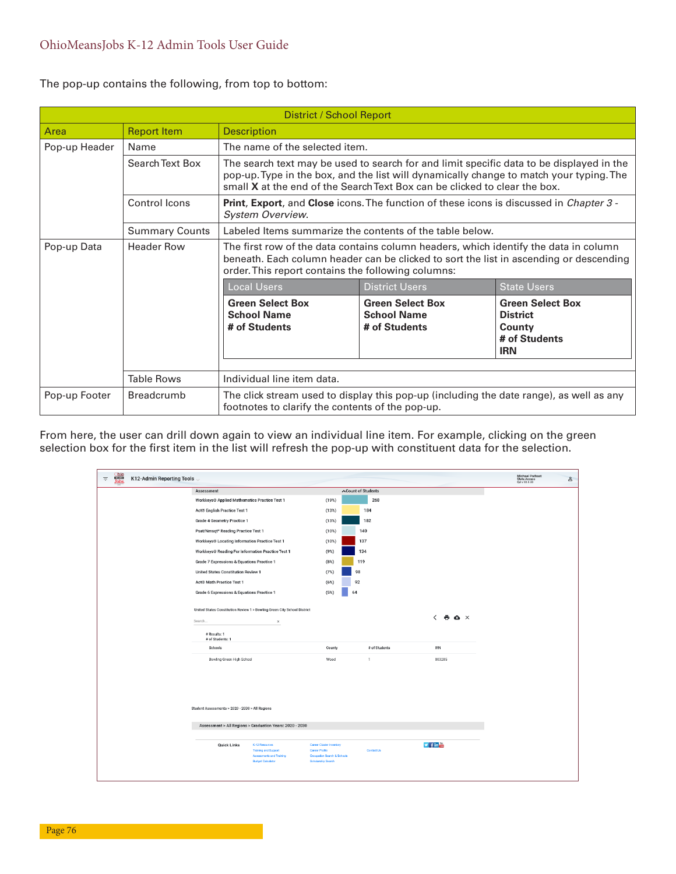The pop-up contains the following, from top to bottom:

|               |                                                                                                                                                                                                                                                           | District / School Report                                                                                                  |                                                                                                                                                                                                                                                                   |                                                                                     |  |  |  |  |  |  |
|---------------|-----------------------------------------------------------------------------------------------------------------------------------------------------------------------------------------------------------------------------------------------------------|---------------------------------------------------------------------------------------------------------------------------|-------------------------------------------------------------------------------------------------------------------------------------------------------------------------------------------------------------------------------------------------------------------|-------------------------------------------------------------------------------------|--|--|--|--|--|--|
| Area          | <b>Report Item</b>                                                                                                                                                                                                                                        | <b>Description</b>                                                                                                        |                                                                                                                                                                                                                                                                   |                                                                                     |  |  |  |  |  |  |
| Pop-up Header | Name                                                                                                                                                                                                                                                      | The name of the selected item.                                                                                            |                                                                                                                                                                                                                                                                   |                                                                                     |  |  |  |  |  |  |
|               | Search Text Box                                                                                                                                                                                                                                           |                                                                                                                           | The search text may be used to search for and limit specific data to be displayed in the<br>pop-up. Type in the box, and the list will dynamically change to match your typing. The<br>small X at the end of the Search Text Box can be clicked to clear the box. |                                                                                     |  |  |  |  |  |  |
|               | Control Icons                                                                                                                                                                                                                                             | <b>Print, Export, and Close</b> icons. The function of these icons is discussed in <i>Chapter 3 -</i><br>System Overview. |                                                                                                                                                                                                                                                                   |                                                                                     |  |  |  |  |  |  |
|               | <b>Summary Counts</b>                                                                                                                                                                                                                                     | Labeled Items summarize the contents of the table below.                                                                  |                                                                                                                                                                                                                                                                   |                                                                                     |  |  |  |  |  |  |
| Pop-up Data   | <b>Header Row</b><br>The first row of the data contains column headers, which identify the data in column<br>beneath. Each column header can be clicked to sort the list in ascending or descending<br>order. This report contains the following columns: |                                                                                                                           |                                                                                                                                                                                                                                                                   |                                                                                     |  |  |  |  |  |  |
|               |                                                                                                                                                                                                                                                           | <b>Local Users</b>                                                                                                        | <b>District Users</b>                                                                                                                                                                                                                                             | <b>State Users</b>                                                                  |  |  |  |  |  |  |
|               |                                                                                                                                                                                                                                                           | <b>Green Select Box</b><br><b>School Name</b><br># of Students                                                            | <b>Green Select Box</b><br><b>School Name</b><br># of Students                                                                                                                                                                                                    | <b>Green Select Box</b><br><b>District</b><br>County<br># of Students<br><b>IRN</b> |  |  |  |  |  |  |
|               | <b>Table Rows</b>                                                                                                                                                                                                                                         | Individual line item data.                                                                                                |                                                                                                                                                                                                                                                                   |                                                                                     |  |  |  |  |  |  |
| Pop-up Footer | <b>Breadcrumb</b>                                                                                                                                                                                                                                         |                                                                                                                           | The click stream used to display this pop-up (including the date range), as well as any<br>footnotes to clarify the contents of the pop-up.                                                                                                                       |                                                                                     |  |  |  |  |  |  |

From here, the user can drill down again to view an individual line item. For example, clicking on the green selection box for the first item in the list will refresh the pop-up with constituent data for the selection.

| K12-Admin Reporting Tools |                                                               |                                                                                                       |                                                                                                                      |                    |                                           | Michael Pothast<br>State Access<br>QA v 02.0.33 | $\geq$ |
|---------------------------|---------------------------------------------------------------|-------------------------------------------------------------------------------------------------------|----------------------------------------------------------------------------------------------------------------------|--------------------|-------------------------------------------|-------------------------------------------------|--------|
|                           | Assessment                                                    |                                                                                                       |                                                                                                                      | ∧Count of Students |                                           |                                                 |        |
|                           | Workkeys® Applied Mathematics Practice Test 1                 |                                                                                                       | (19%)                                                                                                                | 268                |                                           |                                                 |        |
|                           | Act <sup>®</sup> English Practice Test 1                      |                                                                                                       | (13%)                                                                                                                | 184                |                                           |                                                 |        |
|                           | <b>Grade 4 Geometry Practice 1</b>                            |                                                                                                       | (13%)                                                                                                                | 182                |                                           |                                                 |        |
|                           | Psat/Nmsqt* Reading Practice Test 1                           |                                                                                                       | (10%)                                                                                                                | 140                |                                           |                                                 |        |
|                           | Workkeys® Locating Information Practice Test 1                |                                                                                                       | (10%)                                                                                                                | 137                |                                           |                                                 |        |
|                           | Workkeys <sup>®</sup> Reading For Information Practice Test 1 |                                                                                                       | (9% )                                                                                                                | 134                |                                           |                                                 |        |
|                           | Grade 7 Expressions & Equations Practice 1                    |                                                                                                       | (8%)                                                                                                                 | 119                |                                           |                                                 |        |
|                           | United States Constitution Review 1                           |                                                                                                       | (7%)                                                                                                                 | 98                 |                                           |                                                 |        |
|                           | Act <sup>®</sup> Math Practice Test 1                         |                                                                                                       | $(6\%)$                                                                                                              | 92                 |                                           |                                                 |        |
|                           | Grade 6 Expressions & Equations Practice 1                    |                                                                                                       | (5%)                                                                                                                 | 64                 |                                           |                                                 |        |
|                           | Search<br># Results: 1<br># of Students: 1                    | $\times$                                                                                              |                                                                                                                      |                    | $\leftarrow$ $\bullet$ $\bullet$ $\times$ |                                                 |        |
|                           | Schools                                                       |                                                                                                       | County                                                                                                               | # of Students      | <b>IRN</b>                                |                                                 |        |
|                           | Bowling Green High School                                     |                                                                                                       | Wood                                                                                                                 | 1                  | 003285                                    |                                                 |        |
|                           | Student Assessments > 2020 - 2030 > All Regions               |                                                                                                       |                                                                                                                      |                    |                                           |                                                 |        |
|                           |                                                               | Assessment > All Regions > Graduation Years: 2020 - 2030                                              |                                                                                                                      |                    |                                           |                                                 |        |
|                           | <b>Quick Links</b>                                            | K-12 Resources<br><b>Training and Support</b><br>Assessments and Training<br><b>Budget Calculator</b> | <b>Career Cluster Inventory</b><br><b>Career Profile</b><br>Occupation Search & Schools<br><b>Scholarship Search</b> | <b>Contact Us</b>  | $\n  4$ in $m$                            |                                                 |        |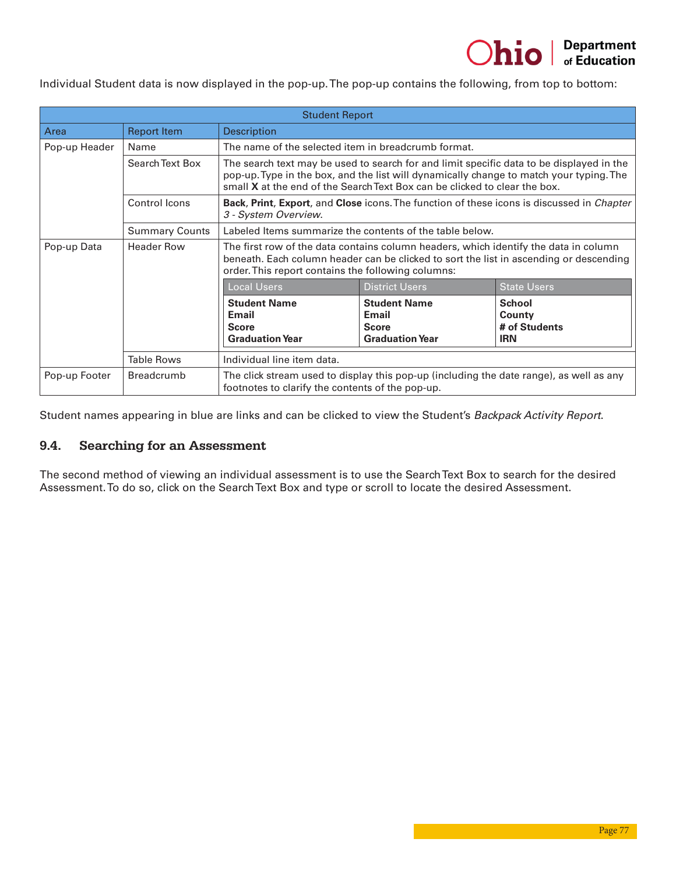Individual Student data is now displayed in the pop-up. The pop-up contains the following, from top to bottom:

|               |                                                                                                                                                                                | <b>Student Report</b>                                                                                                                                                                                                                                             |                                                                                                                                             |                                                        |  |  |  |  |  |
|---------------|--------------------------------------------------------------------------------------------------------------------------------------------------------------------------------|-------------------------------------------------------------------------------------------------------------------------------------------------------------------------------------------------------------------------------------------------------------------|---------------------------------------------------------------------------------------------------------------------------------------------|--------------------------------------------------------|--|--|--|--|--|
| Area          | <b>Report Item</b>                                                                                                                                                             | <b>Description</b>                                                                                                                                                                                                                                                |                                                                                                                                             |                                                        |  |  |  |  |  |
| Pop-up Header | Name                                                                                                                                                                           | The name of the selected item in breadcrumb format.                                                                                                                                                                                                               |                                                                                                                                             |                                                        |  |  |  |  |  |
|               | Search Text Box                                                                                                                                                                | The search text may be used to search for and limit specific data to be displayed in the<br>pop-up. Type in the box, and the list will dynamically change to match your typing. The<br>small X at the end of the Search Text Box can be clicked to clear the box. |                                                                                                                                             |                                                        |  |  |  |  |  |
|               | Control Icons                                                                                                                                                                  | <b>Back, Print, Export,</b> and Close icons. The function of these icons is discussed in <i>Chapter</i><br>3 - System Overview.                                                                                                                                   |                                                                                                                                             |                                                        |  |  |  |  |  |
|               | <b>Summary Counts</b>                                                                                                                                                          | Labeled Items summarize the contents of the table below.                                                                                                                                                                                                          |                                                                                                                                             |                                                        |  |  |  |  |  |
| Pop-up Data   | The first row of the data contains column headers, which identify the data in column<br>beneath. Each column header can be clicked to sort the list in ascending or descending |                                                                                                                                                                                                                                                                   |                                                                                                                                             |                                                        |  |  |  |  |  |
|               |                                                                                                                                                                                | <b>Local Users</b>                                                                                                                                                                                                                                                | <b>District Users</b>                                                                                                                       | <b>State Users</b>                                     |  |  |  |  |  |
|               |                                                                                                                                                                                | <b>Student Name</b><br><b>Email</b><br><b>Score</b><br><b>Graduation Year</b>                                                                                                                                                                                     | <b>Student Name</b><br><b>Email</b><br><b>Score</b><br><b>Graduation Year</b>                                                               | <b>School</b><br>County<br># of Students<br><b>IRN</b> |  |  |  |  |  |
|               | <b>Table Rows</b>                                                                                                                                                              | Individual line item data.                                                                                                                                                                                                                                        |                                                                                                                                             |                                                        |  |  |  |  |  |
| Pop-up Footer | <b>Breadcrumb</b>                                                                                                                                                              |                                                                                                                                                                                                                                                                   | The click stream used to display this pop-up (including the date range), as well as any<br>footnotes to clarify the contents of the pop-up. |                                                        |  |  |  |  |  |

Student names appearing in blue are links and can be clicked to view the Student's *Backpack Activity Report*.

#### 9.4. Searching for an Assessment

The second method of viewing an individual assessment is to use the Search Text Box to search for the desired Assessment. To do so, click on the Search Text Box and type or scroll to locate the desired Assessment.